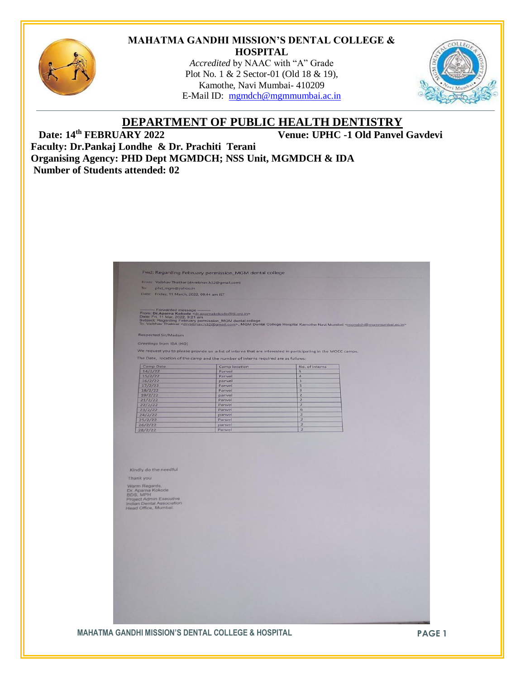

#### **MAHATMA GANDHI MISSION'S DENTAL COLLEGE & HOSPITAL**

*Accredited* by NAAC with "A" Grade Plot No. 1 & 2 Sector-01 (Old 18 & 19), Kamothe, Navi Mumbai- 410209 E-Mail ID: [mgmdch@mgmmumbai.ac.in](mailto:mgmdch@mgmmumbai.ac.in)



### **DEPARTMENT OF PUBLIC HEALTH DENTISTRY** Date: 14<sup>th</sup> FEBRUARY 2022

**Venue: UPHC -1 Old Panvel Gavdevi** 

**Faculty: Dr.Pankaj Londhe & Dr. Prachiti Terani Organising Agency: PHD Dept MGMDCH; NSS Unit, MGMDCH & IDA Number of Students attended: 02**

| To:<br>phd_mgm@yahoo.in<br>Date: Friday, 11 March, 2022, 09:44 am IST |                                                                                                                                                                                                                                                             |                                  |  |
|-----------------------------------------------------------------------|-------------------------------------------------------------------------------------------------------------------------------------------------------------------------------------------------------------------------------------------------------------|----------------------------------|--|
|                                                                       |                                                                                                                                                                                                                                                             |                                  |  |
| -- Forwarded message -                                                |                                                                                                                                                                                                                                                             |                                  |  |
|                                                                       | From: Dr.Aparna Kokode <d anamakokode®til.org.in=""><br/>Date: Fri, 11 Mar, 2022, 9:21 am<br/>Subject: Regarding February permission_MGM dental college<br/>To: Vaibhav Thakkar &lt;<u>drvaibhav.h32@gmail.com</u>&gt;, MGM Dental College Hospital Kam</d> |                                  |  |
|                                                                       |                                                                                                                                                                                                                                                             |                                  |  |
| <b>Respected Sir/Madam</b>                                            |                                                                                                                                                                                                                                                             |                                  |  |
| Greetings from IDA (HO)                                               |                                                                                                                                                                                                                                                             |                                  |  |
|                                                                       |                                                                                                                                                                                                                                                             |                                  |  |
|                                                                       | We request you to please provide us a list of interns that are interested in participating in the MOCC camps.                                                                                                                                               |                                  |  |
|                                                                       | The Date, location of the camp and the number of interns required are as follows:                                                                                                                                                                           |                                  |  |
| Camp Date                                                             | Camp location                                                                                                                                                                                                                                               | No. of interns                   |  |
| 14/2/22<br>15/2/22                                                    | Panvel                                                                                                                                                                                                                                                      | $\overline{5}$<br>$\overline{4}$ |  |
| 16/2/22                                                               | Panvel<br>panvel                                                                                                                                                                                                                                            | $\overline{\mathbf{3}}$          |  |
| 17/2/22                                                               | Panvel                                                                                                                                                                                                                                                      | $\overline{\mathbf{3}}$          |  |
| 18/2/22                                                               | Panvel                                                                                                                                                                                                                                                      | $\overline{3}$                   |  |
| 19/2/22                                                               | panvel                                                                                                                                                                                                                                                      | $\overline{2}$<br>$\overline{z}$ |  |
| 21/2/22<br>22/2/22                                                    | Panvel<br>Panvel                                                                                                                                                                                                                                            | $\overline{2}$                   |  |
| 23/2/22                                                               | Panvel                                                                                                                                                                                                                                                      | 6                                |  |
| 24/2/22                                                               | panvel                                                                                                                                                                                                                                                      | $\overline{z}$                   |  |
| 25/2/22                                                               | Panvel                                                                                                                                                                                                                                                      | $\overline{z}$<br>$\overline{2}$ |  |
|                                                                       | panvel                                                                                                                                                                                                                                                      |                                  |  |
| 26/2/22                                                               |                                                                                                                                                                                                                                                             |                                  |  |
| 28/2/22                                                               | Panvel                                                                                                                                                                                                                                                      | $\overline{2}$                   |  |
|                                                                       |                                                                                                                                                                                                                                                             |                                  |  |
|                                                                       |                                                                                                                                                                                                                                                             |                                  |  |
|                                                                       |                                                                                                                                                                                                                                                             |                                  |  |
| Kindly do the needful                                                 |                                                                                                                                                                                                                                                             |                                  |  |
| Thank you                                                             |                                                                                                                                                                                                                                                             |                                  |  |
|                                                                       |                                                                                                                                                                                                                                                             |                                  |  |
| Warm Regards,                                                         |                                                                                                                                                                                                                                                             |                                  |  |
| Dr. Aparna Kokode<br>BDS, MPH                                         |                                                                                                                                                                                                                                                             |                                  |  |
| Project Admin Executive                                               |                                                                                                                                                                                                                                                             |                                  |  |
| Indian Dental Association<br>Head Office, Mumbai.                     |                                                                                                                                                                                                                                                             |                                  |  |
|                                                                       |                                                                                                                                                                                                                                                             |                                  |  |
|                                                                       |                                                                                                                                                                                                                                                             |                                  |  |
|                                                                       |                                                                                                                                                                                                                                                             |                                  |  |
|                                                                       |                                                                                                                                                                                                                                                             |                                  |  |
|                                                                       |                                                                                                                                                                                                                                                             |                                  |  |
|                                                                       |                                                                                                                                                                                                                                                             |                                  |  |
|                                                                       |                                                                                                                                                                                                                                                             |                                  |  |
|                                                                       |                                                                                                                                                                                                                                                             |                                  |  |
|                                                                       |                                                                                                                                                                                                                                                             |                                  |  |
|                                                                       |                                                                                                                                                                                                                                                             |                                  |  |
|                                                                       |                                                                                                                                                                                                                                                             |                                  |  |
|                                                                       |                                                                                                                                                                                                                                                             |                                  |  |
|                                                                       |                                                                                                                                                                                                                                                             |                                  |  |
|                                                                       |                                                                                                                                                                                                                                                             |                                  |  |
|                                                                       |                                                                                                                                                                                                                                                             |                                  |  |
|                                                                       |                                                                                                                                                                                                                                                             |                                  |  |
|                                                                       |                                                                                                                                                                                                                                                             |                                  |  |
|                                                                       |                                                                                                                                                                                                                                                             |                                  |  |
|                                                                       |                                                                                                                                                                                                                                                             |                                  |  |

### **MAHATMA GANDHI MISSION'S DENTAL COLLEGE & HOSPITAL PAGE 1**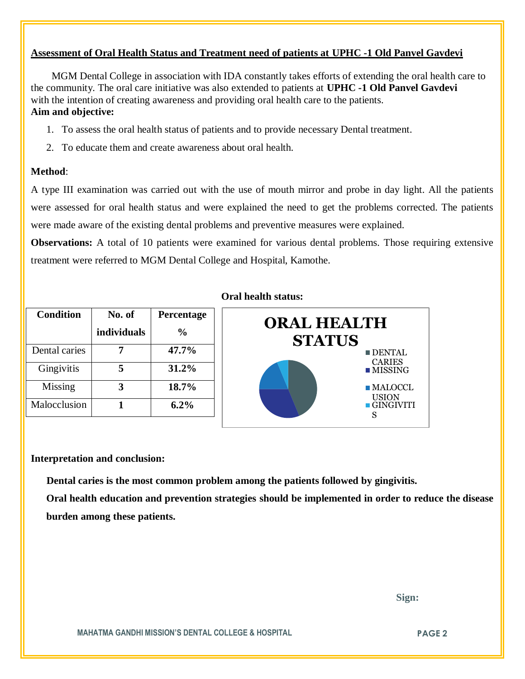## **Assessment of Oral Health Status and Treatment need of patients at UPHC -1 Old Panvel Gavdevi**

 MGM Dental College in association with IDA constantly takes efforts of extending the oral health care to the community. The oral care initiative was also extended to patients at **UPHC -1 Old Panvel Gavdevi** with the intention of creating awareness and providing oral health care to the patients. **Aim and objective:** 

- 1. To assess the oral health status of patients and to provide necessary Dental treatment.
- 2. To educate them and create awareness about oral health.

### **Method**:

A type III examination was carried out with the use of mouth mirror and probe in day light. All the patients were assessed for oral health status and were explained the need to get the problems corrected. The patients were made aware of the existing dental problems and preventive measures were explained.

**Observations:** A total of 10 patients were examined for various dental problems. Those requiring extensive treatment were referred to MGM Dental College and Hospital, Kamothe.

| <b>Condition</b> | No. of      | Percentage |
|------------------|-------------|------------|
|                  | individuals | $\%$       |
| Dental caries    |             | 47.7%      |
| Gingivitis       |             | 31.2%      |
| Missing          |             | 18.7%      |
| Malocclusion     |             | $6.2\%$    |

### **Oral health status:**



### **Interpretation and conclusion:**

 **Dental caries is the most common problem among the patients followed by gingivitis.**

**Oral health education and prevention strategies should be implemented in order to reduce the disease burden among these patients.**

 **Sign:**

**MAHATMA GANDHI MISSION'S DENTAL COLLEGE & HOSPITAL PAGE 2**